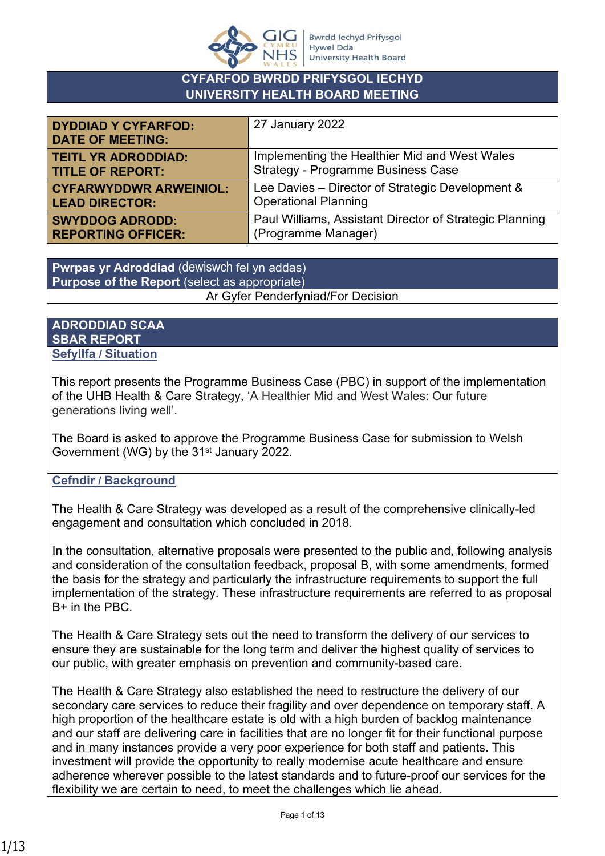

### **CYFARFOD BWRDD PRIFYSGOL IECHYD UNIVERSITY HEALTH BOARD MEETING**

| <b>DYDDIAD Y CYFARFOD:</b><br><b>DATE OF MEETING:</b> | 27 January 2022                                         |
|-------------------------------------------------------|---------------------------------------------------------|
| <b>TEITL YR ADRODDIAD:</b>                            | Implementing the Healthier Mid and West Wales           |
| <b>TITLE OF REPORT:</b>                               | <b>Strategy - Programme Business Case</b>               |
| <b>CYFARWYDDWR ARWEINIOL:</b>                         | Lee Davies - Director of Strategic Development &        |
| <b>LEAD DIRECTOR:</b>                                 | <b>Operational Planning</b>                             |
| <b>SWYDDOG ADRODD:</b>                                | Paul Williams, Assistant Director of Strategic Planning |
| <b>REPORTING OFFICER:</b>                             | (Programme Manager)                                     |

**Pwrpas yr Adroddiad** (dewiswch fel yn addas) **Purpose of the Report** (select as appropriate) Ar Gyfer Penderfyniad/For Decision

#### **ADRODDIAD SCAA SBAR REPORT Sefyllfa / Situation**

This report presents the Programme Business Case (PBC) in support of the implementation of the UHB Health & Care Strategy, 'A Healthier Mid and West Wales: Our future generations living well'.

The Board is asked to approve the Programme Business Case for submission to Welsh Government (WG) by the 31<sup>st</sup> January 2022.

## **Cefndir / Background**

The Health & Care Strategy was developed as a result of the comprehensive clinically-led engagement and consultation which concluded in 2018.

In the consultation, alternative proposals were presented to the public and, following analysis and consideration of the consultation feedback, proposal B, with some amendments, formed the basis for the strategy and particularly the infrastructure requirements to support the full implementation of the strategy. These infrastructure requirements are referred to as proposal B+ in the PBC.

The Health & Care Strategy sets out the need to transform the delivery of our services to ensure they are sustainable for the long term and deliver the highest quality of services to our public, with greater emphasis on prevention and community-based care.

The Health & Care Strategy also established the need to restructure the delivery of our secondary care services to reduce their fragility and over dependence on temporary staff. A high proportion of the healthcare estate is old with a high burden of backlog maintenance and our staff are delivering care in facilities that are no longer fit for their functional purpose and in many instances provide a very poor experience for both staff and patients. This investment will provide the opportunity to really modernise acute healthcare and ensure adherence wherever possible to the latest standards and to future-proof our services for the flexibility we are certain to need, to meet the challenges which lie ahead.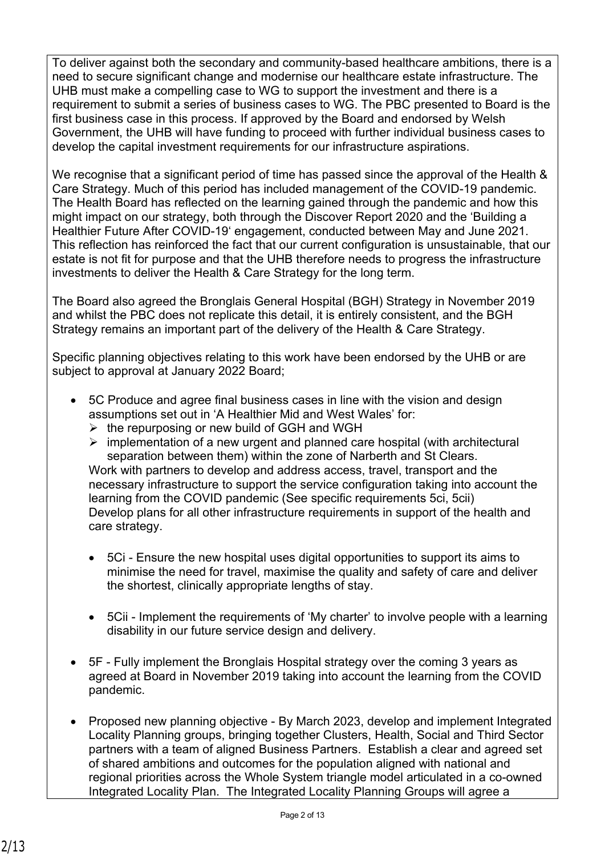To deliver against both the secondary and community-based healthcare ambitions, there is a need to secure significant change and modernise our healthcare estate infrastructure. The UHB must make a compelling case to WG to support the investment and there is a requirement to submit a series of business cases to WG. The PBC presented to Board is the first business case in this process. If approved by the Board and endorsed by Welsh Government, the UHB will have funding to proceed with further individual business cases to develop the capital investment requirements for our infrastructure aspirations.

We recognise that a significant period of time has passed since the approval of the Health & Care Strategy. Much of this period has included management of the COVID-19 pandemic. The Health Board has reflected on the learning gained through the pandemic and how this might impact on our strategy, both through the Discover Report 2020 and the 'Building a Healthier Future After COVID-19' engagement, conducted between May and June 2021. This reflection has reinforced the fact that our current configuration is unsustainable, that our estate is not fit for purpose and that the UHB therefore needs to progress the infrastructure investments to deliver the Health & Care Strategy for the long term.

The Board also agreed the Bronglais General Hospital (BGH) Strategy in November 2019 and whilst the PBC does not replicate this detail, it is entirely consistent, and the BGH Strategy remains an important part of the delivery of the Health & Care Strategy.

Specific planning objectives relating to this work have been endorsed by the UHB or are subject to approval at January 2022 Board;

- 5C Produce and agree final business cases in line with the vision and design assumptions set out in 'A Healthier Mid and West Wales' for:
	- $\triangleright$  the repurposing or new build of GGH and WGH
	- $\triangleright$  implementation of a new urgent and planned care hospital (with architectural separation between them) within the zone of Narberth and St Clears. Work with partners to develop and address access, travel, transport and the necessary infrastructure to support the service configuration taking into account the learning from the COVID pandemic (See specific requirements 5ci, 5cii) Develop plans for all other infrastructure requirements in support of the health and care strategy.
	- 5Ci Ensure the new hospital uses digital opportunities to support its aims to minimise the need for travel, maximise the quality and safety of care and deliver the shortest, clinically appropriate lengths of stay.
	- 5Cii Implement the requirements of 'My charter' to involve people with a learning disability in our future service design and delivery.
- 5F Fully implement the Bronglais Hospital strategy over the coming 3 years as agreed at Board in November 2019 taking into account the learning from the COVID pandemic.
- Proposed new planning objective By March 2023, develop and implement Integrated Locality Planning groups, bringing together Clusters, Health, Social and Third Sector partners with a team of aligned Business Partners. Establish a clear and agreed set of shared ambitions and outcomes for the population aligned with national and regional priorities across the Whole System triangle model articulated in a co-owned Integrated Locality Plan. The Integrated Locality Planning Groups will agree a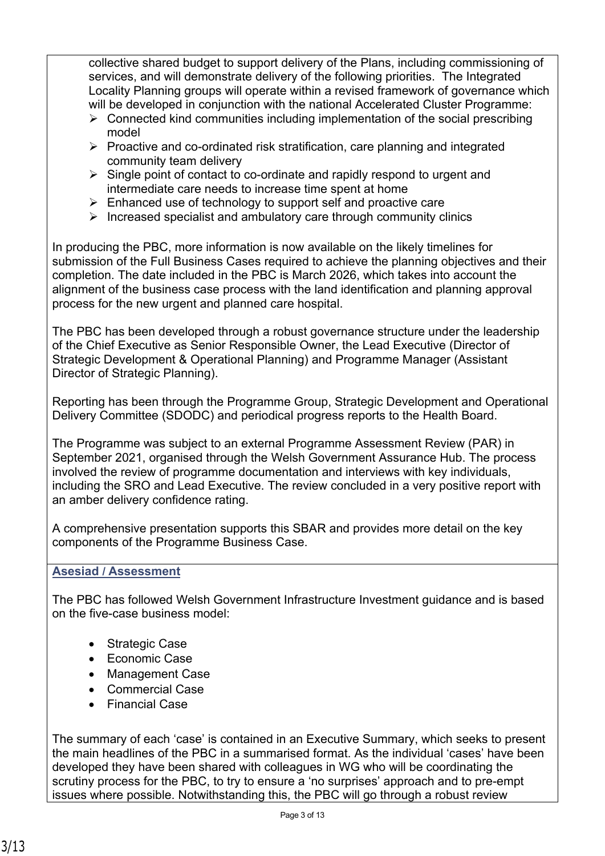collective shared budget to support delivery of the Plans, including commissioning of services, and will demonstrate delivery of the following priorities. The Integrated Locality Planning groups will operate within a revised framework of governance which will be developed in conjunction with the national Accelerated Cluster Programme:

- $\triangleright$  Connected kind communities including implementation of the social prescribing model
- $\triangleright$  Proactive and co-ordinated risk stratification, care planning and integrated community team delivery
- $\triangleright$  Single point of contact to co-ordinate and rapidly respond to urgent and intermediate care needs to increase time spent at home
- $\triangleright$  Enhanced use of technology to support self and proactive care
- $\triangleright$  Increased specialist and ambulatory care through community clinics

In producing the PBC, more information is now available on the likely timelines for submission of the Full Business Cases required to achieve the planning objectives and their completion. The date included in the PBC is March 2026, which takes into account the alignment of the business case process with the land identification and planning approval process for the new urgent and planned care hospital.

The PBC has been developed through a robust governance structure under the leadership of the Chief Executive as Senior Responsible Owner, the Lead Executive (Director of Strategic Development & Operational Planning) and Programme Manager (Assistant Director of Strategic Planning).

Reporting has been through the Programme Group, Strategic Development and Operational Delivery Committee (SDODC) and periodical progress reports to the Health Board.

The Programme was subject to an external Programme Assessment Review (PAR) in September 2021, organised through the Welsh Government Assurance Hub. The process involved the review of programme documentation and interviews with key individuals, including the SRO and Lead Executive. The review concluded in a very positive report with an amber delivery confidence rating.

A comprehensive presentation supports this SBAR and provides more detail on the key components of the Programme Business Case.

### **Asesiad / Assessment**

The PBC has followed Welsh Government Infrastructure Investment guidance and is based on the five-case business model:

- Strategic Case
- Economic Case
- Management Case
- Commercial Case
- Financial Case

The summary of each 'case' is contained in an Executive Summary, which seeks to present the main headlines of the PBC in a summarised format. As the individual 'cases' have been developed they have been shared with colleagues in WG who will be coordinating the scrutiny process for the PBC, to try to ensure a 'no surprises' approach and to pre-empt issues where possible. Notwithstanding this, the PBC will go through a robust review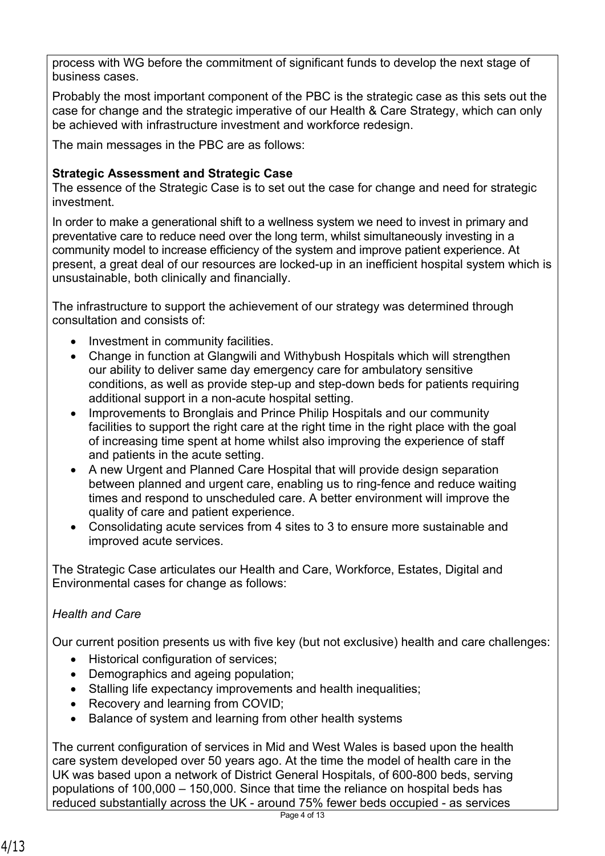process with WG before the commitment of significant funds to develop the next stage of business cases.

Probably the most important component of the PBC is the strategic case as this sets out the case for change and the strategic imperative of our Health & Care Strategy, which can only be achieved with infrastructure investment and workforce redesign.

The main messages in the PBC are as follows:

### **Strategic Assessment and Strategic Case**

The essence of the Strategic Case is to set out the case for change and need for strategic investment.

In order to make a generational shift to a wellness system we need to invest in primary and preventative care to reduce need over the long term, whilst simultaneously investing in a community model to increase efficiency of the system and improve patient experience. At present, a great deal of our resources are locked-up in an inefficient hospital system which is unsustainable, both clinically and financially.

The infrastructure to support the achievement of our strategy was determined through consultation and consists of:

- Investment in community facilities.
- Change in function at Glangwili and Withybush Hospitals which will strengthen our ability to deliver same day emergency care for ambulatory sensitive conditions, as well as provide step-up and step-down beds for patients requiring additional support in a non-acute hospital setting.
- Improvements to Bronglais and Prince Philip Hospitals and our community facilities to support the right care at the right time in the right place with the goal of increasing time spent at home whilst also improving the experience of staff and patients in the acute setting.
- A new Urgent and Planned Care Hospital that will provide design separation between planned and urgent care, enabling us to ring-fence and reduce waiting times and respond to unscheduled care. A better environment will improve the quality of care and patient experience.
- Consolidating acute services from 4 sites to 3 to ensure more sustainable and improved acute services.

The Strategic Case articulates our Health and Care, Workforce, Estates, Digital and Environmental cases for change as follows:

## *Health and Care*

Our current position presents us with five key (but not exclusive) health and care challenges:

- Historical configuration of services;
- Demographics and ageing population;
- Stalling life expectancy improvements and health inequalities;
- Recovery and learning from COVID;
- Balance of system and learning from other health systems

The current configuration of services in Mid and West Wales is based upon the health care system developed over 50 years ago. At the time the model of health care in the UK was based upon a network of District General Hospitals, of 600-800 beds, serving populations of 100,000 – 150,000. Since that time the reliance on hospital beds has reduced substantially across the UK - around 75% fewer beds occupied - as services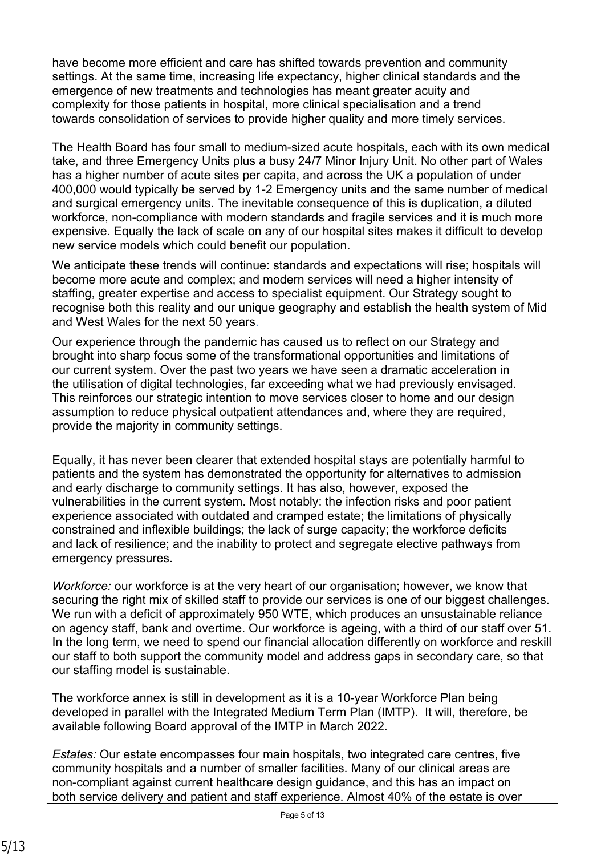have become more efficient and care has shifted towards prevention and community settings. At the same time, increasing life expectancy, higher clinical standards and the emergence of new treatments and technologies has meant greater acuity and complexity for those patients in hospital, more clinical specialisation and a trend towards consolidation of services to provide higher quality and more timely services.

The Health Board has four small to medium-sized acute hospitals, each with its own medical take, and three Emergency Units plus a busy 24/7 Minor Injury Unit. No other part of Wales has a higher number of acute sites per capita, and across the UK a population of under 400,000 would typically be served by 1-2 Emergency units and the same number of medical and surgical emergency units. The inevitable consequence of this is duplication, a diluted workforce, non-compliance with modern standards and fragile services and it is much more expensive. Equally the lack of scale on any of our hospital sites makes it difficult to develop new service models which could benefit our population.

We anticipate these trends will continue: standards and expectations will rise; hospitals will become more acute and complex; and modern services will need a higher intensity of staffing, greater expertise and access to specialist equipment. Our Strategy sought to recognise both this reality and our unique geography and establish the health system of Mid and West Wales for the next 50 years.

Our experience through the pandemic has caused us to reflect on our Strategy and brought into sharp focus some of the transformational opportunities and limitations of our current system. Over the past two years we have seen a dramatic acceleration in the utilisation of digital technologies, far exceeding what we had previously envisaged. This reinforces our strategic intention to move services closer to home and our design assumption to reduce physical outpatient attendances and, where they are required, provide the majority in community settings.

Equally, it has never been clearer that extended hospital stays are potentially harmful to patients and the system has demonstrated the opportunity for alternatives to admission and early discharge to community settings. It has also, however, exposed the vulnerabilities in the current system. Most notably: the infection risks and poor patient experience associated with outdated and cramped estate; the limitations of physically constrained and inflexible buildings; the lack of surge capacity; the workforce deficits and lack of resilience; and the inability to protect and segregate elective pathways from emergency pressures.

*Workforce:* our workforce is at the very heart of our organisation; however, we know that securing the right mix of skilled staff to provide our services is one of our biggest challenges. We run with a deficit of approximately 950 WTE, which produces an unsustainable reliance on agency staff, bank and overtime. Our workforce is ageing, with a third of our staff over 51. In the long term, we need to spend our financial allocation differently on workforce and reskill our staff to both support the community model and address gaps in secondary care, so that our staffing model is sustainable.

The workforce annex is still in development as it is a 10-year Workforce Plan being developed in parallel with the Integrated Medium Term Plan (IMTP). It will, therefore, be available following Board approval of the IMTP in March 2022.

*Estates:* Our estate encompasses four main hospitals, two integrated care centres, five community hospitals and a number of smaller facilities. Many of our clinical areas are non-compliant against current healthcare design guidance, and this has an impact on both service delivery and patient and staff experience. Almost 40% of the estate is over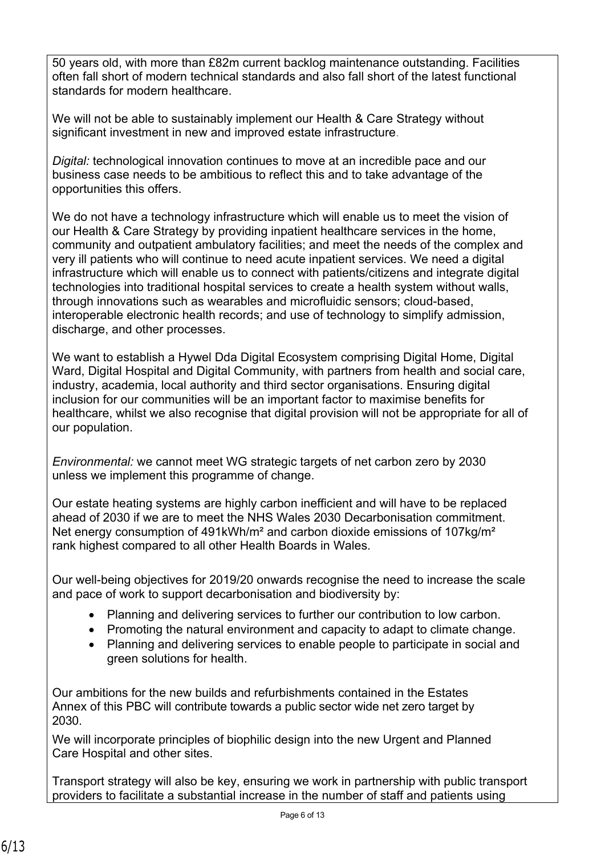50 years old, with more than £82m current backlog maintenance outstanding. Facilities often fall short of modern technical standards and also fall short of the latest functional standards for modern healthcare.

We will not be able to sustainably implement our Health & Care Strategy without significant investment in new and improved estate infrastructure.

*Digital:* technological innovation continues to move at an incredible pace and our business case needs to be ambitious to reflect this and to take advantage of the opportunities this offers.

We do not have a technology infrastructure which will enable us to meet the vision of our Health & Care Strategy by providing inpatient healthcare services in the home, community and outpatient ambulatory facilities; and meet the needs of the complex and very ill patients who will continue to need acute inpatient services. We need a digital infrastructure which will enable us to connect with patients/citizens and integrate digital technologies into traditional hospital services to create a health system without walls, through innovations such as wearables and microfluidic sensors; cloud-based, interoperable electronic health records; and use of technology to simplify admission, discharge, and other processes.

We want to establish a Hywel Dda Digital Ecosystem comprising Digital Home, Digital Ward, Digital Hospital and Digital Community, with partners from health and social care, industry, academia, local authority and third sector organisations. Ensuring digital inclusion for our communities will be an important factor to maximise benefits for healthcare, whilst we also recognise that digital provision will not be appropriate for all of our population.

*Environmental:* we cannot meet WG strategic targets of net carbon zero by 2030 unless we implement this programme of change.

Our estate heating systems are highly carbon inefficient and will have to be replaced ahead of 2030 if we are to meet the NHS Wales 2030 Decarbonisation commitment. Net energy consumption of 491kWh/m<sup>2</sup> and carbon dioxide emissions of 107kg/m<sup>2</sup> rank highest compared to all other Health Boards in Wales.

Our well-being objectives for 2019/20 onwards recognise the need to increase the scale and pace of work to support decarbonisation and biodiversity by:

- Planning and delivering services to further our contribution to low carbon.
- Promoting the natural environment and capacity to adapt to climate change.
- Planning and delivering services to enable people to participate in social and green solutions for health.

Our ambitions for the new builds and refurbishments contained in the Estates Annex of this PBC will contribute towards a public sector wide net zero target by 2030.

We will incorporate principles of biophilic design into the new Urgent and Planned Care Hospital and other sites.

Transport strategy will also be key, ensuring we work in partnership with public transport providers to facilitate a substantial increase in the number of staff and patients using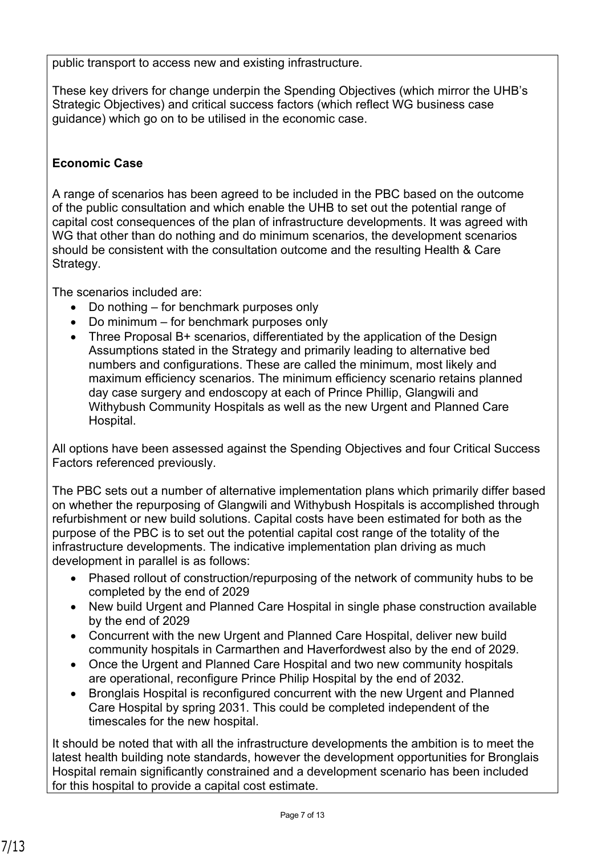public transport to access new and existing infrastructure.

These key drivers for change underpin the Spending Objectives (which mirror the UHB's Strategic Objectives) and critical success factors (which reflect WG business case guidance) which go on to be utilised in the economic case.

### **Economic Case**

A range of scenarios has been agreed to be included in the PBC based on the outcome of the public consultation and which enable the UHB to set out the potential range of capital cost consequences of the plan of infrastructure developments. It was agreed with WG that other than do nothing and do minimum scenarios, the development scenarios should be consistent with the consultation outcome and the resulting Health & Care Strategy.

The scenarios included are:

- Do nothing for benchmark purposes only
- Do minimum for benchmark purposes only
- Three Proposal B+ scenarios, differentiated by the application of the Design Assumptions stated in the Strategy and primarily leading to alternative bed numbers and configurations. These are called the minimum, most likely and maximum efficiency scenarios. The minimum efficiency scenario retains planned day case surgery and endoscopy at each of Prince Phillip, Glangwili and Withybush Community Hospitals as well as the new Urgent and Planned Care Hospital.

All options have been assessed against the Spending Objectives and four Critical Success Factors referenced previously.

The PBC sets out a number of alternative implementation plans which primarily differ based on whether the repurposing of Glangwili and Withybush Hospitals is accomplished through refurbishment or new build solutions. Capital costs have been estimated for both as the purpose of the PBC is to set out the potential capital cost range of the totality of the infrastructure developments. The indicative implementation plan driving as much development in parallel is as follows:

- Phased rollout of construction/repurposing of the network of community hubs to be completed by the end of 2029
- New build Urgent and Planned Care Hospital in single phase construction available by the end of 2029
- Concurrent with the new Urgent and Planned Care Hospital, deliver new build community hospitals in Carmarthen and Haverfordwest also by the end of 2029.
- Once the Urgent and Planned Care Hospital and two new community hospitals are operational, reconfigure Prince Philip Hospital by the end of 2032.
- Bronglais Hospital is reconfigured concurrent with the new Urgent and Planned Care Hospital by spring 2031. This could be completed independent of the timescales for the new hospital.

It should be noted that with all the infrastructure developments the ambition is to meet the latest health building note standards, however the development opportunities for Bronglais Hospital remain significantly constrained and a development scenario has been included for this hospital to provide a capital cost estimate.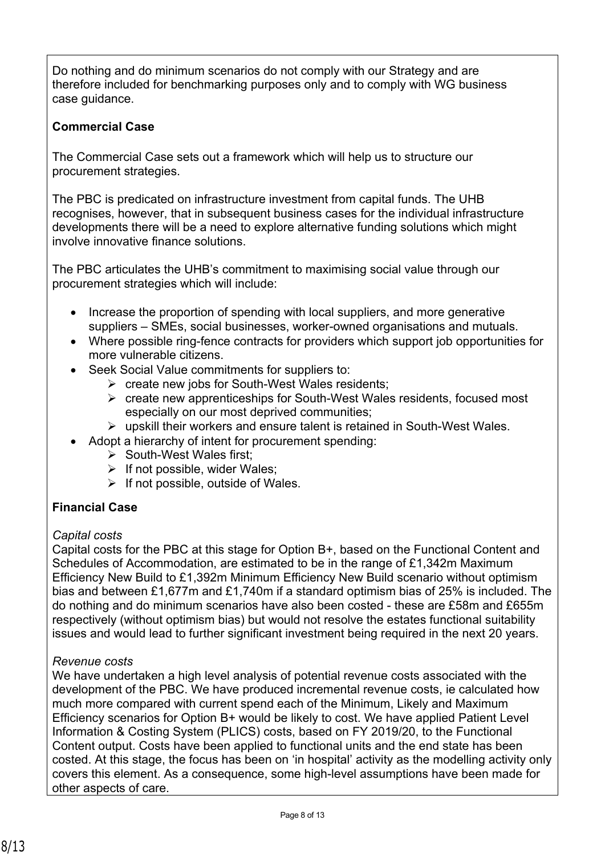Do nothing and do minimum scenarios do not comply with our Strategy and are therefore included for benchmarking purposes only and to comply with WG business case guidance.

### **Commercial Case**

The Commercial Case sets out a framework which will help us to structure our procurement strategies.

The PBC is predicated on infrastructure investment from capital funds. The UHB recognises, however, that in subsequent business cases for the individual infrastructure developments there will be a need to explore alternative funding solutions which might involve innovative finance solutions.

The PBC articulates the UHB's commitment to maximising social value through our procurement strategies which will include:

- Increase the proportion of spending with local suppliers, and more generative suppliers – SMEs, social businesses, worker-owned organisations and mutuals.
- Where possible ring-fence contracts for providers which support job opportunities for more vulnerable citizens.
- Seek Social Value commitments for suppliers to:
	- $\triangleright$  create new jobs for South-West Wales residents:
	- $\triangleright$  create new apprenticeships for South-West Wales residents, focused most especially on our most deprived communities;
	- $\triangleright$  upskill their workers and ensure talent is retained in South-West Wales.
- Adopt a hierarchy of intent for procurement spending:
	- $\triangleright$  South-West Wales first;
	- $\triangleright$  If not possible, wider Wales;
	- $\triangleright$  If not possible, outside of Wales.

## **Financial Case**

### *Capital costs*

Capital costs for the PBC at this stage for Option B+, based on the Functional Content and Schedules of Accommodation, are estimated to be in the range of £1,342m Maximum Efficiency New Build to £1,392m Minimum Efficiency New Build scenario without optimism bias and between £1,677m and £1,740m if a standard optimism bias of 25% is included. The do nothing and do minimum scenarios have also been costed - these are £58m and £655m respectively (without optimism bias) but would not resolve the estates functional suitability issues and would lead to further significant investment being required in the next 20 years.

### *Revenue costs*

We have undertaken a high level analysis of potential revenue costs associated with the development of the PBC. We have produced incremental revenue costs, ie calculated how much more compared with current spend each of the Minimum, Likely and Maximum Efficiency scenarios for Option B+ would be likely to cost. We have applied Patient Level Information & Costing System (PLICS) costs, based on FY 2019/20, to the Functional Content output. Costs have been applied to functional units and the end state has been costed. At this stage, the focus has been on 'in hospital' activity as the modelling activity only covers this element. As a consequence, some high-level assumptions have been made for other aspects of care.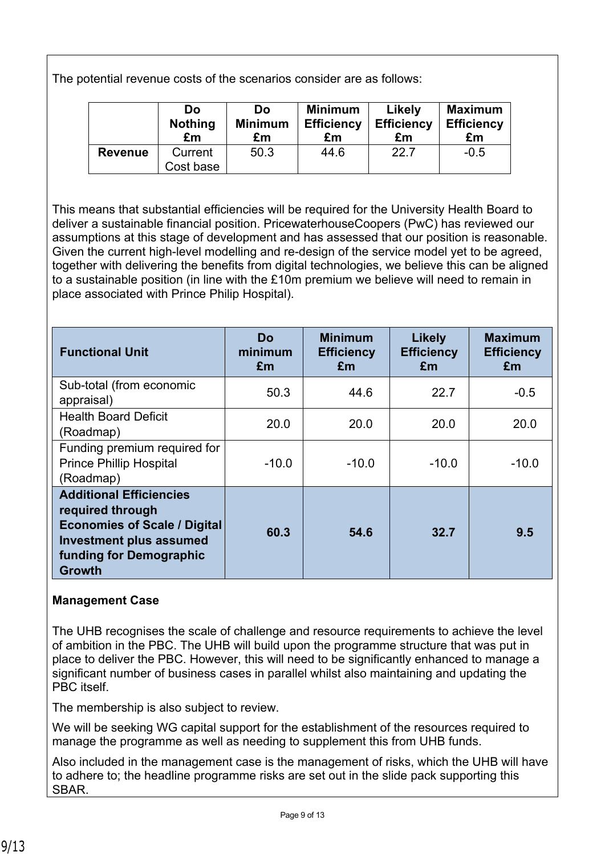The potential revenue costs of the scenarios consider are as follows:

|                | Do<br><b>Nothing</b><br>£m | Do<br><b>Minimum</b><br>£m | <b>Minimum</b><br><b>Efficiency</b><br>£m | Likely<br><b>Efficiency</b><br>£m | <b>Maximum</b><br><b>Efficiency</b><br>£m |
|----------------|----------------------------|----------------------------|-------------------------------------------|-----------------------------------|-------------------------------------------|
| <b>Revenue</b> | Current                    | 50.3                       | 44.6                                      | 22.7                              | $-0.5$                                    |
|                | Cost base                  |                            |                                           |                                   |                                           |

This means that substantial efficiencies will be required for the University Health Board to deliver a sustainable financial position. PricewaterhouseCoopers (PwC) has reviewed our assumptions at this stage of development and has assessed that our position is reasonable. Given the current high-level modelling and re-design of the service model yet to be agreed, together with delivering the benefits from digital technologies, we believe this can be aligned to a sustainable position (in line with the £10m premium we believe will need to remain in place associated with Prince Philip Hospital).

| <b>Functional Unit</b>                                                                                                                                                  | Do<br>minimum<br>£m | <b>Minimum</b><br><b>Efficiency</b><br>Em | <b>Likely</b><br><b>Efficiency</b><br>£m | <b>Maximum</b><br><b>Efficiency</b><br>£m |
|-------------------------------------------------------------------------------------------------------------------------------------------------------------------------|---------------------|-------------------------------------------|------------------------------------------|-------------------------------------------|
| Sub-total (from economic<br>appraisal)                                                                                                                                  | 50.3                | 44.6                                      | 22.7                                     | $-0.5$                                    |
| <b>Health Board Deficit</b><br>(Roadmap)                                                                                                                                | 20.0                | 20.0                                      | 20.0                                     | 20.0                                      |
| Funding premium required for<br><b>Prince Phillip Hospital</b><br>(Roadmap)                                                                                             | $-10.0$             | $-10.0$                                   | $-10.0$                                  | $-10.0$                                   |
| <b>Additional Efficiencies</b><br>required through<br><b>Economies of Scale / Digital</b><br><b>Investment plus assumed</b><br>funding for Demographic<br><b>Growth</b> | 60.3                | 54.6                                      | 32.7                                     | 9.5                                       |

### **Management Case**

The UHB recognises the scale of challenge and resource requirements to achieve the level of ambition in the PBC. The UHB will build upon the programme structure that was put in place to deliver the PBC. However, this will need to be significantly enhanced to manage a significant number of business cases in parallel whilst also maintaining and updating the PBC itself.

The membership is also subject to review.

We will be seeking WG capital support for the establishment of the resources required to manage the programme as well as needing to supplement this from UHB funds.

Also included in the management case is the management of risks, which the UHB will have to adhere to; the headline programme risks are set out in the slide pack supporting this SBAR.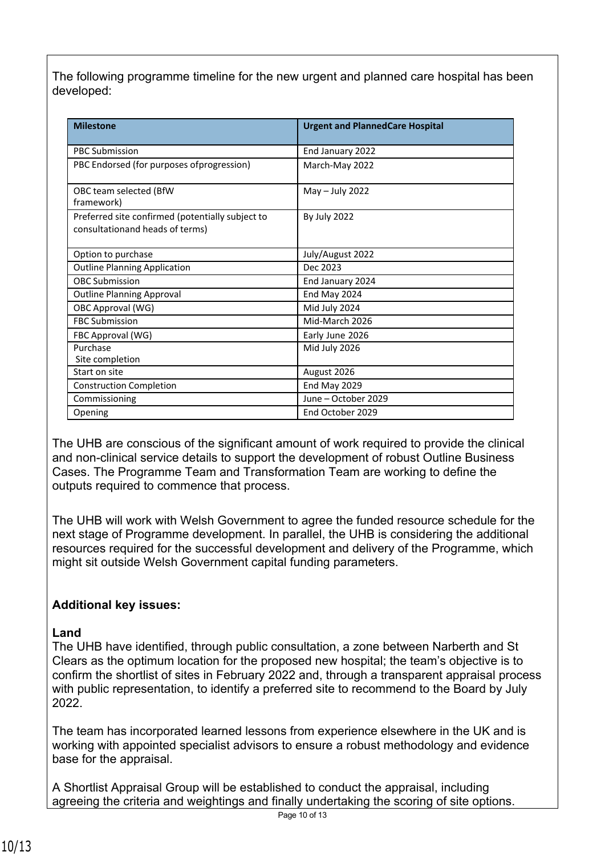The following programme timeline for the new urgent and planned care hospital has been developed:

| <b>Milestone</b>                                                                    | <b>Urgent and PlannedCare Hospital</b> |
|-------------------------------------------------------------------------------------|----------------------------------------|
| <b>PBC Submission</b>                                                               | End January 2022                       |
| PBC Endorsed (for purposes of progression)                                          | March-May 2022                         |
| OBC team selected (BfW<br>framework)                                                | May $-$ July 2022                      |
| Preferred site confirmed (potentially subject to<br>consultationand heads of terms) | <b>By July 2022</b>                    |
| Option to purchase                                                                  | July/August 2022                       |
| <b>Outline Planning Application</b>                                                 | Dec 2023                               |
| <b>OBC Submission</b>                                                               | End January 2024                       |
| <b>Outline Planning Approval</b>                                                    | End May 2024                           |
| OBC Approval (WG)                                                                   | Mid July 2024                          |
| <b>FBC Submission</b>                                                               | Mid-March 2026                         |
| FBC Approval (WG)                                                                   | Early June 2026                        |
| Purchase<br>Site completion                                                         | Mid July 2026                          |
| Start on site                                                                       | August 2026                            |
| <b>Construction Completion</b>                                                      | End May 2029                           |
| Commissioning                                                                       | June - October 2029                    |
| Opening                                                                             | End October 2029                       |

The UHB are conscious of the significant amount of work required to provide the clinical and non-clinical service details to support the development of robust Outline Business Cases. The Programme Team and Transformation Team are working to define the outputs required to commence that process.

The UHB will work with Welsh Government to agree the funded resource schedule for the next stage of Programme development. In parallel, the UHB is considering the additional resources required for the successful development and delivery of the Programme, which might sit outside Welsh Government capital funding parameters.

## **Additional key issues:**

### **Land**

The UHB have identified, through public consultation, a zone between Narberth and St Clears as the optimum location for the proposed new hospital; the team's objective is to confirm the shortlist of sites in February 2022 and, through a transparent appraisal process with public representation, to identify a preferred site to recommend to the Board by July 2022.

The team has incorporated learned lessons from experience elsewhere in the UK and is working with appointed specialist advisors to ensure a robust methodology and evidence base for the appraisal.

A Shortlist Appraisal Group will be established to conduct the appraisal, including agreeing the criteria and weightings and finally undertaking the scoring of site options.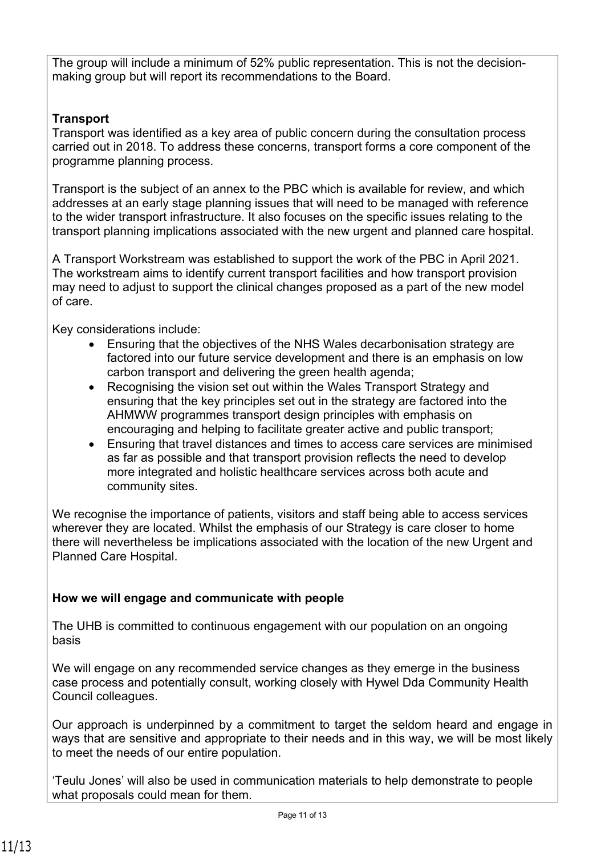The group will include a minimum of 52% public representation. This is not the decisionmaking group but will report its recommendations to the Board.

# **Transport**

Transport was identified as a key area of public concern during the consultation process carried out in 2018. To address these concerns, transport forms a core component of the programme planning process.

Transport is the subject of an annex to the PBC which is available for review, and which addresses at an early stage planning issues that will need to be managed with reference to the wider transport infrastructure. It also focuses on the specific issues relating to the transport planning implications associated with the new urgent and planned care hospital.

A Transport Workstream was established to support the work of the PBC in April 2021. The workstream aims to identify current transport facilities and how transport provision may need to adjust to support the clinical changes proposed as a part of the new model of care.

Key considerations include:

- Ensuring that the objectives of the NHS Wales decarbonisation strategy are factored into our future service development and there is an emphasis on low carbon transport and delivering the green health agenda;
- Recognising the vision set out within the Wales Transport Strategy and ensuring that the key principles set out in the strategy are factored into the AHMWW programmes transport design principles with emphasis on encouraging and helping to facilitate greater active and public transport;
- Ensuring that travel distances and times to access care services are minimised as far as possible and that transport provision reflects the need to develop more integrated and holistic healthcare services across both acute and community sites.

We recognise the importance of patients, visitors and staff being able to access services wherever they are located. Whilst the emphasis of our Strategy is care closer to home there will nevertheless be implications associated with the location of the new Urgent and Planned Care Hospital.

## **How we will engage and communicate with people**

The UHB is committed to continuous engagement with our population on an ongoing basis

We will engage on any recommended service changes as they emerge in the business case process and potentially consult, working closely with Hywel Dda Community Health Council colleagues.

Our approach is underpinned by a commitment to target the seldom heard and engage in ways that are sensitive and appropriate to their needs and in this way, we will be most likely to meet the needs of our entire population.

'Teulu Jones' will also be used in communication materials to help demonstrate to people what proposals could mean for them.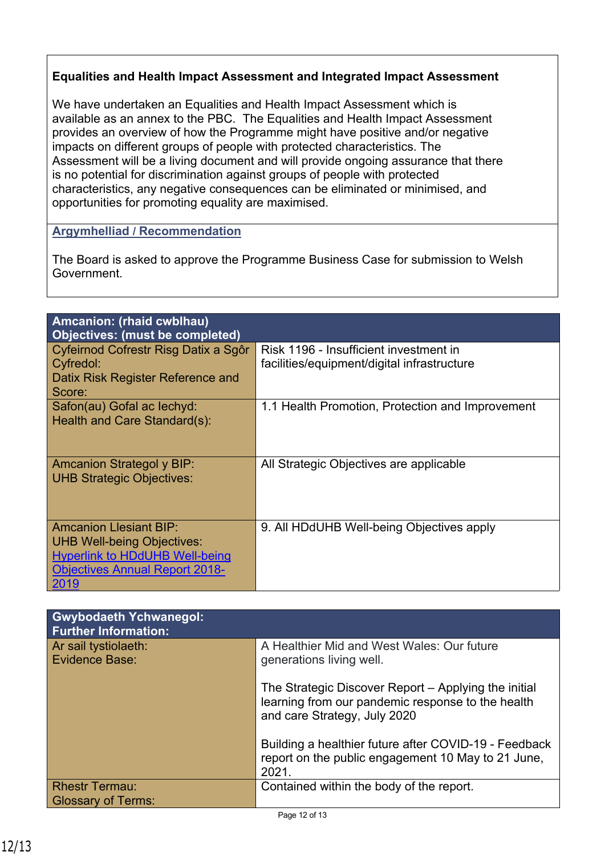### **Equalities and Health Impact Assessment and Integrated Impact Assessment**

We have undertaken an Equalities and Health Impact Assessment which is available as an annex to the PBC. The Equalities and Health Impact Assessment provides an overview of how the Programme might have positive and/or negative impacts on different groups of people with protected characteristics. The Assessment will be a living document and will provide ongoing assurance that there is no potential for discrimination against groups of people with protected characteristics, any negative consequences can be eliminated or minimised, and opportunities for promoting equality are maximised.

#### **Argymhelliad / Recommendation**

The Board is asked to approve the Programme Business Case for submission to Welsh Government.

| <b>Amcanion: (rhaid cwblhau)</b><br><b>Objectives: (must be completed)</b>                                                                                   |                                                                                       |
|--------------------------------------------------------------------------------------------------------------------------------------------------------------|---------------------------------------------------------------------------------------|
| Cyfeirnod Cofrestr Risg Datix a Sgôr<br>Cyfredol:<br>Datix Risk Register Reference and<br>Score:                                                             | Risk 1196 - Insufficient investment in<br>facilities/equipment/digital infrastructure |
| Safon(au) Gofal ac lechyd:<br>Health and Care Standard(s):                                                                                                   | 1.1 Health Promotion, Protection and Improvement                                      |
| <b>Amcanion Strategol y BIP:</b><br><b>UHB Strategic Objectives:</b>                                                                                         | All Strategic Objectives are applicable                                               |
| <b>Amcanion Llesiant BIP:</b><br><b>UHB Well-being Objectives:</b><br><b>Hyperlink to HDdUHB Well-being</b><br><b>Objectives Annual Report 2018-</b><br>2019 | 9. All HDdUHB Well-being Objectives apply                                             |

| <b>Gwybodaeth Ychwanegol:</b><br><b>Further Information:</b> |                                                                                                                                           |
|--------------------------------------------------------------|-------------------------------------------------------------------------------------------------------------------------------------------|
| Ar sail tystiolaeth:<br>Evidence Base:                       | A Healthier Mid and West Wales: Our future<br>generations living well.                                                                    |
|                                                              | The Strategic Discover Report – Applying the initial<br>learning from our pandemic response to the health<br>and care Strategy, July 2020 |
|                                                              | Building a healthier future after COVID-19 - Feedback<br>report on the public engagement 10 May to 21 June,<br>2021.                      |
| <b>Rhestr Termau:</b>                                        | Contained within the body of the report.                                                                                                  |
| <b>Glossary of Terms:</b>                                    |                                                                                                                                           |